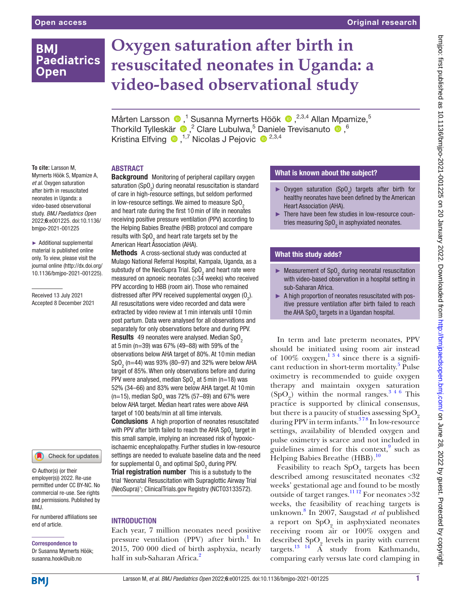# **BMI Paediatrics Open**

# **Oxygen saturation after birth in resuscitated neonates in Uganda: a video-based observational study**

MårtenLarsson <sup>®</sup>,<sup>1</sup> Susanna Myrnerts Höök <sup>®</sup>,<sup>2,3,4</sup> Allan Mpamize,<sup>5</sup> ThorkildTylleskär  $\bigcirc$ , <sup>2</sup> Clare Lubulwa, <sup>5</sup> Daniele Trevisanuto  $\bigcirc$ , <sup>6</sup> Kristina Elfving  $\bullet$ ,<sup>1,7</sup> Nicolas J Pejovic  $\bullet$ <sup>2,3,4</sup>

### ABSTRACT

**To cite:** Larsson M, Myrnerts Höök S, Mpamize A, *et al*. Oxygen saturation after birth in resuscitated neonates in Uganda: a video-based observational study. *BMJ Paediatrics Open* 2022;6:e001225. doi:10.1136/ bmjpo-2021-001225

► Additional supplemental material is published online only. To view, please visit the journal online ([http://dx.doi.org/](http://dx.doi.org/10.1136/bmjpo-2021-001225) [10.1136/bmjpo-2021-001225\)](http://dx.doi.org/10.1136/bmjpo-2021-001225).

Received 13 July 2021 Accepted 8 December 2021

Check for updates

© Author(s) (or their employer(s)) 2022. Re-use permitted under CC BY-NC. No commercial re-use. See rights and permissions. Published by BMJ.

For numbered affiliations see end of article.

# Correspondence to

Dr Susanna Myrnerts Höök; susanna.hook@uib.no

**Background** Monitoring of peripheral capillary oxygen saturation (SpO $_{\textrm{\tiny{2}}}$ ) during neonatal resuscitation is standard of care in high-resource settings, but seldom performed in low-resource settings. We aimed to measure  $SpO<sub>2</sub>$ and heart rate during the first 10min of life in neonates receiving positive pressure ventilation (PPV) according to the Helping Babies Breathe (HBB) protocol and compare results with  $\text{SpO}_2$  and heart rate targets set by the American Heart Association (AHA).

Methods A cross-sectional study was conducted at Mulago National Referral Hospital, Kampala, Uganda, as a substudy of the NeoSupra Trial. SpO<sub>2</sub> and heart rate were measured on apnoeic neonates (≥34 weeks) who received PPV according to HBB (room air). Those who remained distressed after PPV received supplemental oxygen  $(0<sub>2</sub>)$ . All resuscitations were video recorded and data were extracted by video review at 1min intervals until 10min post partum. Data were analysed for all observations and separately for only observations before and during PPV. Results 49 neonates were analysed. Median SpO<sub>2</sub> at 5min (n=39) was 67% (49–88) with 59% of the observations below AHA target of 80%. At 10min median SpO<sub>2</sub> (n=44) was 93% (80–97) and 32% were below AHA target of 85%. When only observations before and during PPV were analysed, median SpO<sub>2</sub> at 5 min (n=18) was 52% (34–66) and 83% were below AHA target. At 10min (n=15), median SpO<sub>2</sub> was 72% (57–89) and 67% were below AHA target. Median heart rates were above AHA target of 100 beats/min at all time intervals. **Conclusions** A high proportion of neonates resuscitated with PPV after birth failed to reach the AHA SpO<sub>2</sub> target in

this small sample, implying an increased risk of hypoxicischaemic encephalopathy. Further studies in low-resource settings are needed to evaluate baseline data and the need for supplemental  $0<sub>2</sub>$  and optimal Sp $0<sub>2</sub>$  during PPV. **Trial registration number** This is a substudy to the trial 'Neonatal Resuscitation with Supraglottic Airway Trial (NeoSupra)'; ClinicalTrials.gov Registry [\(NCT03133572\)](NCT03133572).

## **INTRODUCTION**

Each year, 7 million neonates need positive pressure ventilation (PPV) after birth.<sup>[1](#page-6-0)</sup> In 2015, 700 000 died of birth asphyxia, nearly half in sub-Saharan Africa.<sup>[2](#page-6-1)</sup>

# What is known about the subject?

- ► Oxygen saturation  $(Sp0<sub>2</sub>)$  targets after birth for healthy neonates have been defined by the American Heart Association (AHA).
- ► There have been few studies in low-resource countries measuring SpO<sub>2</sub> in asphyxiated neonates.

# What this study adds?

- $\blacktriangleright$  Measurement of SpO<sub>2</sub> during neonatal resuscitation with video-based observation in a hospital setting in sub-Saharan Africa.
- ► A high proportion of neonates resuscitated with positive pressure ventilation after birth failed to reach the AHA SpO $_2^{}$  targets in a Ugandan hospital.

In term and late preterm neonates, PPV should be initiated using room air instead of  $100\%$  oxygen,  $1^{3/4}$  since there is a signifi-cant reduction in short-term mortality.<sup>[5](#page-6-2)</sup> Pulse oximetry is recommended to guide oxygen therapy and maintain oxygen saturation  $(SpO<sub>2</sub>)$  within the normal ranges.<sup>346</sup> This practice is supported by clinical consensus, but there is a paucity of studies assessing  $SpO<sub>2</sub>$ during PPV in term infants.<sup>378</sup> In low-resource settings, availability of blended oxygen and pulse oximetry is scarce and not included in guidelines aimed for this context, $9$  such as Helping Babies Breathe (HBB).<sup>[10](#page-6-5)</sup>

Feasibility to reach  $\mathrm{SpO}_2$  targets has been described among resuscitated neonates <32 weeks' gestational age and found to be mostly outside of target ranges.<sup>[11 12](#page-6-6)</sup> For neonates >32 weeks, the feasibility of reaching targets is unknown.[8](#page-6-7) In 2007, Saugstad *et al* published a report on  $SpO<sub>2</sub>$  in asphyxiated neonates receiving room air or 100% oxygen and described  $\text{SpO}_2$  levels in parity with current targets.<sup>[13 14](#page-6-8)</sup>  $\AA$  study from Kathmandu, comparing early versus late cord clamping in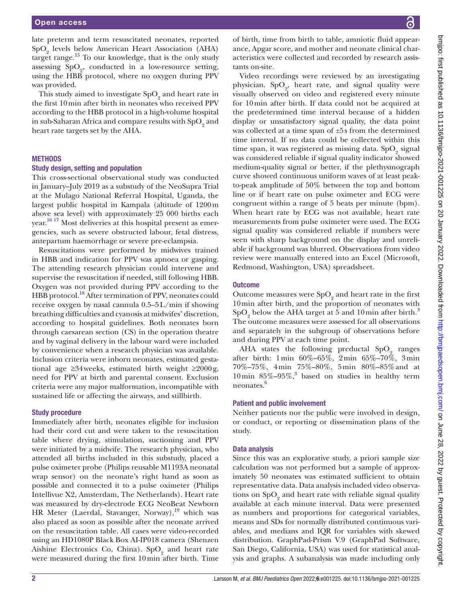late preterm and term resuscitated neonates, reported  $SpO<sub>2</sub>$  levels below American Heart Association (AHA) target range.<sup>15</sup> To our knowledge, that is the only study assessing  $SpO<sub>2</sub>$ , conducted in a low-resource setting, using the HBB protocol, where no oxygen during PPV was provided.

This study aimed to investigate  $\mathrm{SpO}_2$  and heart rate in the first 10min after birth in neonates who received PPV according to the HBB protocol in a high-volume hospital in sub-Saharan Africa and compare results with  $\mathrm{SpO}_2$  and heart rate targets set by the AHA.

#### **METHODS**

#### Study design, setting and population

This cross-sectional observational study was conducted in January–July 2019 as a substudy of the NeoSupra Trial at the Mulago National Referral Hospital, Uganda, the largest public hospital in Kampala (altitude of 1200m above sea level) with approximately 25 000 births each year.<sup>16 17</sup> Most deliveries at this hospital present as emergencies, such as severe obstructed labour, fetal distress, antepartum haemorrhage or severe pre-eclampsia.

Resuscitations were performed by midwives trained in HBB and indication for PPV was apnoea or gasping. The attending research physician could intervene and supervise the resuscitation if needed, still following HBB. Oxygen was not provided during PPV according to the HBB protocol.<sup>[18](#page-6-11)</sup> After termination of PPV, neonates could receive oxygen by nasal cannula 0.5–5L/min if showing breathing difficulties and cyanosis at midwifes' discretion, according to hospital guidelines. Both neonates born through caesarean section (CS) in the operation theatre and by vaginal delivery in the labour ward were included by convenience when a research physician was available. Inclusion criteria were inborn neonates, estimated gestational age  $\geq 34$  weeks, estimated birth weight  $\geq 2000$  g, need for PPV at birth and parental consent. Exclusion criteria were any major malformation, incompatible with sustained life or affecting the airways, and stillbirth.

#### Study procedure

Immediately after birth, neonates eligible for inclusion had their cord cut and were taken to the resuscitation table where drying, stimulation, suctioning and PPV were initiated by a midwife. The research physician, who attended all births included in this substudy, placed a pulse oximeter probe (Philips reusable M1193A neonatal wrap sensor) on the neonate's right hand as soon as possible and connected it to a pulse oximeter (Philips Intellivue X2, Amsterdam, The Netherlands). Heart rate was measured by dry-electrode ECG NeoBeat Newborn HR Meter (Laerdal, Stavanger, Norway), $\frac{19}{19}$  which was also placed as soon as possible after the neonate arrived on the resuscitation table. All cases were video-recorded using an HD1080P Black Box AI-IP018 camera (Shenzen Aishine Electronics Co, China).  $SpO<sub>2</sub>$  and heart rate were measured during the first 10min after birth. Time

of birth, time from birth to table, amniotic fluid appearance, Apgar score, and mother and neonate clinical characteristics were collected and recorded by research assistants on-site.

Video recordings were reviewed by an investigating physician.  $SpO<sub>2</sub>$ , heart rate, and signal quality were visually observed on video and registered every minute for 10min after birth. If data could not be acquired at the predetermined time interval because of a hidden display or unsatisfactory signal quality, the data point was collected at a time span of ±5s from the determined time interval. If no data could be collected within this time span, it was registered as missing data.  $\mathrm{SpO}_2$  signal was considered reliable if signal quality indicator showed medium-quality signal or better, if the plethysmograph curve showed continuous uniform waves of at least peakto-peak amplitude of 50% between the top and bottom line or if heart rate on pulse oximeter and ECG were congruent within a range of 5 beats per minute (bpm). When heart rate by ECG was not available, heart rate measurements from pulse oximeter were used. The ECG signal quality was considered reliable if numbers were seen with sharp background on the display and unreliable if background was blurred. Observations from video review were manually entered into an Excel (Microsoft, Redmond, Washington, USA) spreadsheet.

#### **Outcome**

Outcome measures were  $\text{SpO}_2$  and heart rate in the first 10min after birth, and the proportion of neonates with  $SpO<sub>2</sub>$  below the AHA target at 5 and 10 min after birth.<sup>[3](#page-6-3)</sup> The outcome measures were assessed for all observations and separately in the subgroup of observations before and during PPV at each time point.

AHA states the following preductal  $SpO<sub>2</sub>$  ranges after birth: 1min 60%–65%, 2min 65%–70%, 3min 70%–75%, 4min 75%–80%, 5min 80%–85%and at 10 min  $85\% - 95\%$ , based on studies in healthy term neonates.[6](#page-6-13)

#### Patient and public involvement

Neither patients nor the public were involved in design, or conduct, or reporting or dissemination plans of the study.

#### Data analysis

Since this was an explorative study, a priori sample size calculation was not performed but a sample of approximately 50 neonates was estimated sufficient to obtain representative data. Data analysis included video observations on  $\mathrm{SpO}_2$  and heart rate with reliable signal quality available at each minute interval. Data were presented as numbers and proportions for categorical variables, means and SDs for normally distributed continuous variables, and medians and IQR for variables with skewed distribution. GraphPad-Prism V.9 (GraphPad Software, San Diego, California, USA) was used for statistical analysis and graphs. A subanalysis was made including only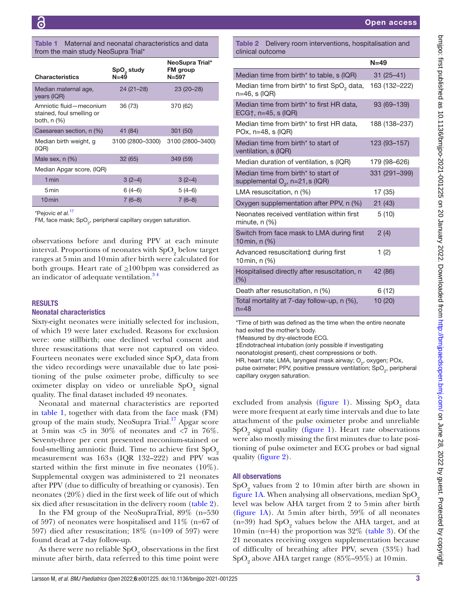#### <span id="page-2-0"></span>Table 1 Maternal and neonatal characteristics and data from the main study NeoSupra Trial\*

| <b>Characteristics</b>                                              | SpO <sub>2</sub> study<br>$N = 49$ | NeoSupra Trial*<br><b>FM</b> group<br>$N = 597$ |
|---------------------------------------------------------------------|------------------------------------|-------------------------------------------------|
| Median maternal age,<br>years (IQR)                                 | $24(21-28)$                        | $23(20-28)$                                     |
| Amniotic fluid-meconium<br>stained, foul smelling or<br>both, n (%) | 36 (73)                            | 370 (62)                                        |
| Caesarean section, n (%)                                            | 41 (84)                            | 301 (50)                                        |
| Median birth weight, g<br>(IQR)                                     | 3100 (2800-3300)                   | 3100 (2800-3400)                                |
| Male sex, n (%)                                                     | 32 (65)                            | 349 (59)                                        |
| Median Apgar score, (IQR)                                           |                                    |                                                 |
| 1 min                                                               | $3(2-4)$                           | $3(2-4)$                                        |
| 5 min                                                               | $6(4-6)$                           | $5(4-6)$                                        |
| $10$ min                                                            | $7(6-8)$                           | $7(6-8)$                                        |

\*Pejovic *et al.*[17](#page-6-14)

FM, face mask; SpO<sub>2</sub>, peripheral capillary oxygen saturation.

observations before and during PPV at each minute interval. Proportions of neonates with  $\text{SpO}_2$  below target ranges at 5min and 10min after birth were calculated for both groups. Heart rate of  $\geq 100$  bpm was considered as an indicator of adequate ventilation.<sup>34</sup>

#### RESULTS

#### Neonatal characteristics

Sixty-eight neonates were initially selected for inclusion, of which 19 were later excluded. Reasons for exclusion were: one stillbirth; one declined verbal consent and three resuscitations that were not captured on video. Fourteen neonates were excluded since  $\mathrm{SpO}_2$  data from the video recordings were unavailable due to late positioning of the pulse oximeter probe, difficulty to see oximeter display on video or unreliable  $\mathrm{SpO}_2$  signal quality. The final dataset included 49 neonates.

Neonatal and maternal characteristics are reported in [table](#page-2-0) 1, together with data from the face mask (FM) group of the main study, NeoSupra Trial.<sup>17</sup> Apgar score at 5 min was  $<5$  in 30% of neonates and  $<7$  in 76%. Seventy-three per cent presented meconium-stained or foul-smelling amniotic fluid. Time to achieve first  $SpO<sub>2</sub>$ measurement was 163s (IQR 132–222) and PPV was started within the first minute in five neonates (10%). Supplemental oxygen was administered to 21 neonates after PPV (due to difficulty of breathing or cyanosis). Ten neonates (20%) died in the first week of life out of which six died after resuscitation in the delivery room [\(table](#page-2-1) 2).

In the FM group of the NeoSupraTrial, 89% (n=530 of 597) of neonates were hospitalised and 11% (n=67 of 597) died after resuscitation; 18% (n=109 of 597) were found dead at 7-day follow-up.

As there were no reliable  $\mathrm{SpO}_2$  observations in the first minute after birth, data referred to this time point were

Open access

<span id="page-2-1"></span>Table 2 Delivery room interventions, hospitalisation and clinical outcome

|                                                                                      | $N=49$        |
|--------------------------------------------------------------------------------------|---------------|
| Median time from birth <sup>*</sup> to table, s (IQR)                                | $31(25 - 41)$ |
| Median time from birth <sup>*</sup> to first SpO <sub>2</sub> data,<br>n=46, s (IQR) | 163 (132–222) |
| Median time from birth* to first HR data,<br>ECG†, $n=45$ , s (IQR)                  | 93 (69-139)   |
| Median time from birth* to first HR data,<br>POx, $n=48$ , s (IQR)                   | 188 (138-237) |
| Median time from birth* to start of<br>ventilation, s (IQR)                          | 123 (93-157)  |
| Median duration of ventilation, s (IQR)                                              | 179 (98-626)  |
| Median time from birth* to start of<br>supplemental $O_2$ , n=21, s (IQR)            | 331 (291-399) |
| LMA resuscitation, $n$ (%)                                                           | 17 (35)       |
| Oxygen supplementation after PPV, n (%)                                              | 21(43)        |
| Neonates received ventilation within first<br>minute, $n$ $(\%)$                     | 5(10)         |
| Switch from face mask to LMA during first<br>10 min, n (%)                           | 2(4)          |
| Advanced resuscitation‡ during first<br>10 min, n (%)                                | 1(2)          |
| Hospitalised directly after resuscitation, n<br>(% )                                 | 42 (86)       |
| Death after resuscitation, n (%)                                                     | 6 (12)        |
| Total mortality at 7-day follow-up, n (%),<br>$n = 48$                               | 10(20)        |

\*Time of birth was defined as the time when the entire neonate had exited the mother's body.

†Measured by dry-electrode ECG.

‡Endotracheal intubation (only possible if investigating

neonatologist present), chest compressions or both.

HR, heart rate; LMA, laryngeal mask airway; O<sub>2</sub>, oxygen; POx, pulse oximeter; PPV, positive pressure ventilation;  $SpO<sub>2</sub>$ , peripheral capillary oxygen saturation.

excluded from analysis ([figure](#page-3-0) 1). Missing  $SpO<sub>2</sub>$  data were more frequent at early time intervals and due to late attachment of the pulse oximeter probe and unreliable  $SpO<sub>2</sub>$  signal quality [\(figure](#page-3-0) 1). Heart rate observations were also mostly missing the first minutes due to late positioning of pulse oximeter and ECG probes or bad signal quality [\(figure](#page-3-1) 2).

#### All observations

 $\mathrm{SpO}_2$  values from 2 to 10 min after birth are shown in [figure](#page-3-0) 1A. When analysing all observations, median  $SpO<sub>2</sub>$ level was below AHA target from 2 to 5min after birth [\(figure](#page-3-0) 1A). At 5min after birth, 59% of all neonates (n=39) had  $SpO<sub>2</sub>$  values below the AHA target, and at 10 min (n=44) the proportion was  $32\%$  [\(table](#page-4-0) 3). Of the 21 neonates receiving oxygen supplementation because of difficulty of breathing after PPV, seven (33%) had  $\mathrm{SpO}_2$  above AHA target range (85%–95%) at  $10\,\mathrm{min.}$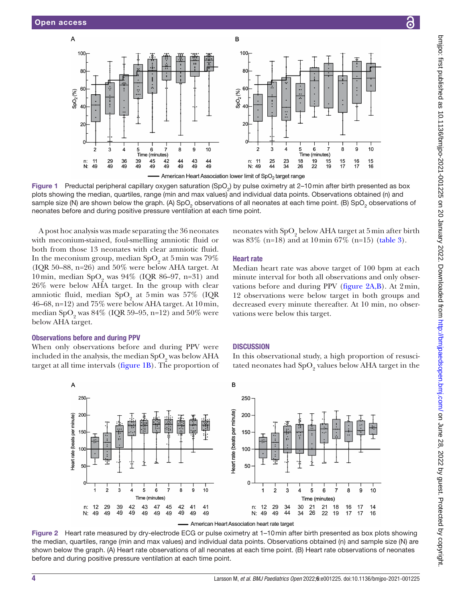$\overline{A}$ 



 $\overline{B}$ 

<span id="page-3-0"></span>American Heart Association lower limit of SpO<sub>2</sub> target range

Figure 1 Preductal peripheral capillary oxygen saturation (SpO<sub>2</sub>) by pulse oximetry at 2–10 min after birth presented as box plots showing the median, quartiles, range (min and max values) and individual data points. Observations obtained (n) and sample size (N) are shown below the graph. (A) SpO<sub>2</sub> observations of all neonates at each time point. (B) SpO<sub>2</sub> observations of neonates before and during positive pressure ventilation at each time point.

A post hoc analysis was made separating the 36 neonates with meconium-stained, foul-smelling amniotic fluid or both from those 13 neonates with clear amniotic fluid. In the meconium group, median  $SpO<sub>2</sub>$  at 5 min was 79% (IQR 50–88, n=26) and 50% were below AHA target. At 10 min, median  $SpO_2$  was 94% (IQR 86–97, n=31) and 26% were below AHA target. In the group with clear amniotic fluid, median  $SpO<sub>2</sub>$  at 5min was 57% (IQR 46–68, n=12) and 75% were below AHA target. At 10min, median SpO<sub>2</sub> was 84% (IQR 59–95, n=12) and 50% were below AHA target.

#### Observations before and during PPV

When only observations before and during PPV were included in the analysis, the median  $SpO_2$  was below AHA target at all time intervals ([figure](#page-3-0) 1B). The proportion of



### Heart rate

Median heart rate was above target of 100 bpm at each minute interval for both all observations and only observations before and during PPV [\(figure](#page-3-1) 2A,B). At 2min, 12 observations were below target in both groups and decreased every minute thereafter. At 10 min, no observations were below this target.

#### **DISCUSSION**

In this observational study, a high proportion of resuscitated neonates had  $\mathrm{SpO}_2$  values below AHA target in the



American Heart Association heart rate target

<span id="page-3-1"></span>Figure 2 Heart rate measured by dry-electrode ECG or pulse oximetry at 1–10min after birth presented as box plots showing the median, quartiles, range (min and max values) and individual data points. Observations obtained (n) and sample size (N) are shown below the graph. (A) Heart rate observations of all neonates at each time point. (B) Heart rate observations of neonates before and during positive pressure ventilation at each time point.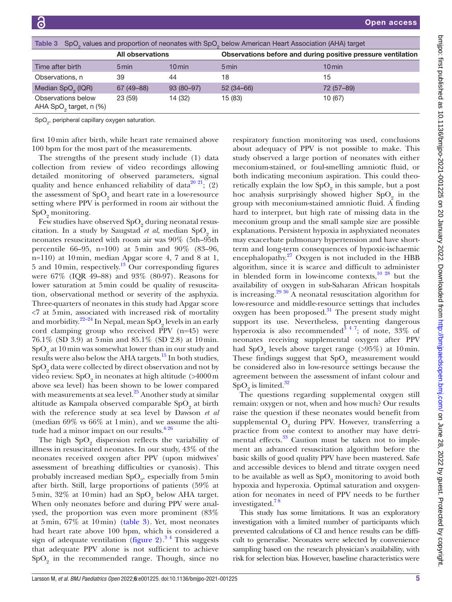<span id="page-4-0"></span>

| SpO <sub>2</sub> values and proportion of neonates with SpO <sub>2</sub> below American Heart Association (AHA) target<br>Table 3 |                         |             |                                                              |            |  |  |  |
|-----------------------------------------------------------------------------------------------------------------------------------|-------------------------|-------------|--------------------------------------------------------------|------------|--|--|--|
|                                                                                                                                   | <b>All observations</b> |             | Observations before and during positive pressure ventilation |            |  |  |  |
| Time after birth                                                                                                                  | 5 min                   | $10$ min    | 5 min                                                        | 10 min     |  |  |  |
| Observations, n                                                                                                                   | 39                      | 44          | 18                                                           | 15         |  |  |  |
| Median SpO <sub>2</sub> (IQR)                                                                                                     | 67 (49 - 88)            | $93(80-97)$ | $52(34-66)$                                                  | 72 (57-89) |  |  |  |
| Observations below<br>AHA SpO <sub>2</sub> target, n (%)                                                                          | 23(59)                  | 14 (32)     | 15 (83)                                                      | 10 (67)    |  |  |  |

 $\textsf{SpO}_2^{}$ , peripheral capillary oxygen saturation.

first 10min after birth, while heart rate remained above 100 bpm for the most part of the measurements.

The strengths of the present study include (1) data collection from review of video recordings allowing detailed monitoring of observed parameters, signal quality and hence enhanced reliability of data<sup>20 21</sup>; (2) the assessment of  $\mathrm{SpO}_2$  and heart rate in a low-resource setting where PPV is performed in room air without the  $SpO<sub>2</sub>$  monitoring.

Few studies have observed  $\mathrm{SpO}_2$  during neonatal resuscitation. In a study by Saugstad *et al*, median SpO<sub>2</sub> in neonates resuscitated with room air was 90% (5th–95th percentile 66–95, n=100) at 5min and 90% (83–96, n=110) at 10min, median Apgar score 4, 7 and 8 at 1, 5 and 10 min, respectively.<sup>13</sup> Our corresponding figures were 67% (IQR 49–88) and 93% (80-97). Reasons for lower saturation at 5min could be quality of resuscitation, observational method or severity of the asphyxia. Three-quarters of neonates in this study had Apgar score <7 at 5min, associated with increased risk of mortality and morbidity. $2^{2-24}$  In Nepal, mean  $SpO_2$  levels in an early cord clamping group who received  $\overline{P}PV$  (n=45) were 76.1% (SD 3.9) at 5min and 85.1% (SD 2.8) at 10min.  $\text{SpO}_2$  at 10 min was somewhat lower than in our study and results were also below the AHA targets.[15](#page-6-9) In both studies,  $\mathrm{SpO}_2$  data were collected by direct observation and not by video review. Sp $\text{O}_2^{}$  in neonates at high altitude (>4000 m above sea level) has been shown to be lower compared with measurements at sea level. $25$  Another study at similar altitude as Kampala observed comparable  $\mathrm{SpO}_2$  at birth with the reference study at sea level by Dawson *et al* (median 69% vs 66% at 1min), and we assume the altitude had a minor impact on our results. $626$ 

The high  $SpO<sub>2</sub>$  dispersion reflects the variability of illness in resuscitated neonates. In our study, 43% of the neonates received oxygen after PPV (upon midwives' assessment of breathing difficulties or cyanosis). This probably increased median  $SpO<sub>2</sub>$ , especially from 5 min after birth. Still, large proportions of patients (59% at  $5\,\mathrm{min},\,32\%$  at  $10\,\mathrm{min})$  had an  $\mathrm{SpO}_2$  below AHA target. When only neonates before and during PPV were analysed, the proportion was even more prominent (83% at 5min, 67% at 10min) ([table](#page-4-0) 3). Yet, most neonates had heart rate above 100 bpm, which is considered a sign of adequate ventilation ([figure](#page-3-1) 2).<sup>34</sup> This suggests that adequate PPV alone is not sufficient to achieve  $\mathrm{SpO}_2$  in the recommended range. Though, since no

respiratory function monitoring was used, conclusions about adequacy of PPV is not possible to make. This study observed a large portion of neonates with either meconium-stained, or foul-smelling amniotic fluid, or both indicating meconium aspiration. This could theoretically explain the low  $\mathrm{SpO}_2$  in this sample, but a post hoc analysis surprisingly showed higher  $SpO<sub>2</sub>$  in the group with meconium-stained amniotic fluid. A finding hard to interpret, but high rate of missing data in the meconium group and the small sample size are possible explanations. Persistent hypoxia in asphyxiated neonates may exacerbate pulmonary hypertension and have shortterm and long-term consequences of hypoxic-ischaemic encephalopathy.<sup>[27](#page-6-18)</sup> Oxygen is not included in the HBB algorithm, since it is scarce and difficult to administer in blended form in low-income contexts, $10^{28}$  but the availability of oxygen in sub-Saharan African hospitals is increasing.<sup>[29 30](#page-6-19)</sup> A neonatal resuscitation algorithm for low-resource and middle-resource settings that includes oxygen has been proposed. $31$  The present study might support its use. Nevertheless, preventing dangerous hyperoxia is also recommended<sup>3 4 7</sup>; of note, 33% of neonates receiving supplemental oxygen after PPV had  $SpO<sub>2</sub>$  levels above target range (>95%) at 10 min. These findings suggest that  $\mathrm{SpO}_2$  measurement would be considered also in low-resource settings because the agreement between the assessment of infant colour and  $\mathrm{SpO}_2$  is limited.<sup>[32](#page-6-21)</sup>

The questions regarding supplemental oxygen still remain: oxygen or not, when and how much? Our results raise the question if these neonates would benefit from supplemental  $O_2$  during PPV. However, transferring a practice from one context to another may have detrimental effects.<sup>33</sup> Caution must be taken not to implement an advanced resuscitation algorithm before the basic skills of good quality PPV have been mastered. Safe and accessible devices to blend and titrate oxygen need to be available as well as  $\mathrm{SpO}_2$  monitoring to avoid both hypoxia and hyperoxia. Optimal saturation and oxygenation for neonates in need of PPV needs to be further investigated[.7 8](#page-6-23)

This study has some limitations. It was an exploratory investigation with a limited number of participants which prevented calculations of CI and hence results can be difficult to generalise. Neonates were selected by convenience sampling based on the research physician's availability, with risk for selection bias. However, baseline characteristics were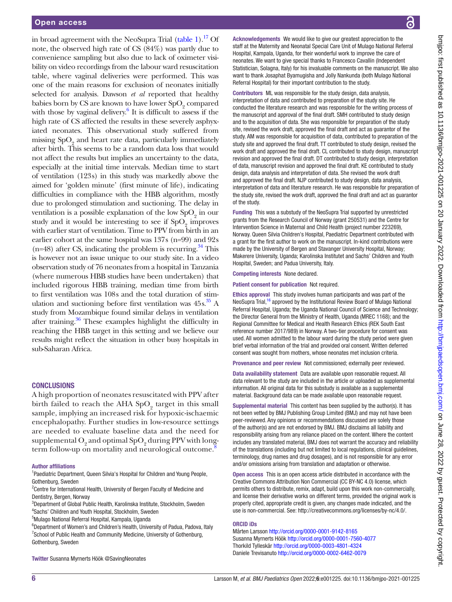in broad agreement with the NeoSupra Trial [\(table](#page-2-0) 1).<sup>17</sup> Of note, the observed high rate of CS (84%) was partly due to convenience sampling but also due to lack of oximeter visibility on video recordings from the labour ward resuscitation table, where vaginal deliveries were performed. This was one of the main reasons for exclusion of neonates initially selected for analysis. Dawson *et al* reported that healthy babies born by CS are known to have lower  $SpO<sub>2</sub>$  compared with those by vaginal delivery. $6$  It is difficult to assess if the high rate of CS affected the results in these severely asphyxiated neonates. This observational study suffered from missing  $\mathrm{SpO}_2$  and heart rate data, particularly immediately after birth. This seems to be a random data loss that would not affect the results but implies an uncertainty to the data, especially at the initial time intervals. Median time to start of ventilation (123s) in this study was markedly above the aimed for 'golden minute' (first minute of life), indicating difficulties in compliance with the HBB algorithm, mostly due to prolonged stimulation and suctioning. The delay in ventilation is a possible explanation of the low  $\mathrm{SpO}_2$  in our study and it would be interesting to see if  $SpO<sub>2</sub>$  improves with earlier start of ventilation. Time to PPV from birth in an earlier cohort at the same hospital was 137s (n=99) and 92s  $(n=48)$  after CS, indicating the problem is recurring.<sup>34</sup> This is however not an issue unique to our study site. In a video observation study of 76 neonates from a hospital in Tanzania (where numerous HBB studies have been undertaken) that included rigorous HBB training, median time from birth to first ventilation was 108s and the total duration of stimulation and suctioning before first ventilation was 45s. [35](#page-6-25) A study from Mozambique found similar delays in ventilation after training[.36](#page-6-26) These examples highlight the difficulty in reaching the HBB target in this setting and we believe our results might reflect the situation in other busy hospitals in sub-Saharan Africa.

#### **CONCLUSIONS**

A high proportion of neonates resuscitated with PPV after birth failed to reach the AHA  $\mathrm{SpO}_2$  target in this small sample, implying an increased risk for hypoxic-ischaemic encephalopathy. Further studies in low-resource settings are needed to evaluate baseline data and the need for  $\mathrm{supplemental}\, \mathrm{O}_2$  and  $\mathrm{optimal}\, \mathrm{SpO}_2$  during PPV with longterm follow-up on mortality and neurological outcome.<sup>8</sup>

#### Author affiliations

<sup>1</sup>Paediatric Department, Queen Silvia's Hospital for Children and Young People, Gothenburg, Sweden

<sup>2</sup> Centre for International Health, University of Bergen Faculty of Medicine and Dentistry, Bergen, Norway

3 Department of Global Public Health, Karolinska Institute, Stockholm, Sweden 4 Sachs' Children and Youth Hospital, Stockholm, Sweden

5 Mulago National Referral Hospital, Kampala, Uganda

<sup>6</sup>Department of Women's and Children's Health, University of Padua, Padova, Italy <sup>7</sup> School of Public Health and Community Medicine, University of Gothenburg, Gothenburg, Sweden

Twitter Susanna Myrnerts Höök [@SavingNeonates](https://twitter.com/SavingNeonates)

Acknowledgements We would like to give our greatest appreciation to the staff at the Maternity and Neonatal Special Care Unit of Mulago National Referral Hospital, Kampala, Uganda, for their wonderful work to improve the care of neonates. We want to give special thanks to Francesco Cavallin (Independent Statistician, Solagna, Italy) for his invaluable comments on the manuscript. We also want to thank Josaphat Byamugisha and Jolly Nankunda (both Mulago National Referral Hospital) for their important contribution to the study.

Contributors ML was responsible for the study design, data analysis. interpretation of data and contributed to preparation of the study site. He conducted the literature research and was responsible for the writing process of the manuscript and approval of the final draft. SMH contributed to study design and to the acquisition of data. She was responsible for preparation of the study site, revised the work draft, approved the final draft and act as guarantor of the study. AM was responsible for acquisition of data, contributed to preparation of the study site and approved the final draft. TT contributed to study design, revised the work draft and approved the final draft. CL contributed to study design, manuscript revision and approved the final draft. DT contributed to study design, interpretation of data, manuscript revision and approved the final draft. KE contributed to study design, data analysis and interpretation of data. She revised the work draft and approved the final draft. NJP contributed to study design, data analysis, interpretation of data and literature research. He was responsible for preparation of the study site, revised the work draft, approved the final draft and act as guarantor of the study.

Funding This was a substudy of the NeoSupra Trial supported by unrestricted grants from the Research Council of Norway (grant 250531) and the Centre for Intervention Science in Maternal and Child Health (project number 223269), Norway. Queen Silvia Children's Hospital, Paediatric Department contributed with a grant for the first author to work on the manuscript. In-kind contributions were made by the University of Bergen and Stavanger University Hospital, Norway; Makerere University, Uganda; Karolinska Institutet and Sachs' Children and Youth Hospital, Sweden; and Padua University, Italy.

Competing interests None declared.

Patient consent for publication Not required.

Ethics approval This study involves human participants and was part of the NeoSupra Trial,<sup>16</sup> approved by the Institutional Review Board of Mulago National Referral Hospital, Uganda; the Uganda National Council of Science and Technology; the Director General from the Ministry of Health, Uganda (MREC 1168); and the Regional Committee for Medical and Health Research Ethics (REK South East reference number 2017/989) in Norway. A two-tier procedure for consent was used. All women admitted to the labour ward during the study period were given brief verbal information of the trial and provided oral consent. Written deferred consent was sought from mothers, whose neonates met inclusion criteria.

Provenance and peer review Not commissioned; externally peer reviewed.

Data availability statement Data are available upon reasonable request. All data relevant to the study are included in the article or uploaded as supplemental information. All original data for this substudy is available as a supplemental material. Background data can be made available upon reasonable request.

Supplemental material This content has been supplied by the author(s). It has not been vetted by BMJ Publishing Group Limited (BMJ) and may not have been peer-reviewed. Any opinions or recommendations discussed are solely those of the author(s) and are not endorsed by BMJ. BMJ disclaims all liability and responsibility arising from any reliance placed on the content. Where the content includes any translated material, BMJ does not warrant the accuracy and reliability of the translations (including but not limited to local regulations, clinical guidelines, terminology, drug names and drug dosages), and is not responsible for any error and/or omissions arising from translation and adaptation or otherwise.

Open access This is an open access article distributed in accordance with the Creative Commons Attribution Non Commercial (CC BY-NC 4.0) license, which permits others to distribute, remix, adapt, build upon this work non-commercially, and license their derivative works on different terms, provided the original work is properly cited, appropriate credit is given, any changes made indicated, and the use is non-commercial. See: <http://creativecommons.org/licenses/by-nc/4.0/>.

#### ORCID iDs

Mårten Larsson <http://orcid.org/0000-0001-9142-8165> Susanna Myrnerts Höök<http://orcid.org/0000-0001-7560-4077> Thorkild Tylleskär <http://orcid.org/0000-0003-4801-4324> Daniele Trevisanuto <http://orcid.org/0000-0002-6462-0079>